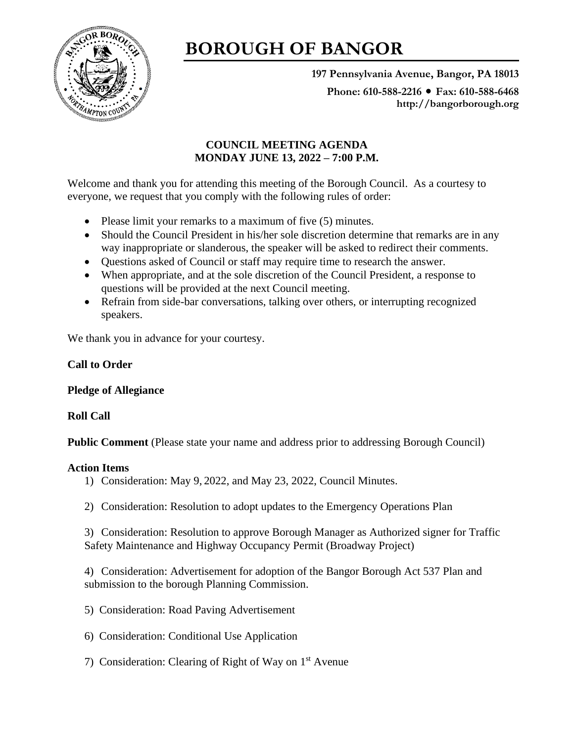

# **BOROUGH OF BANGOR**

**197 Pennsylvania Avenue, Bangor, PA 18013**

Phone: 610-588-2216 ● Fax: 610-588-6468 **http://bangorborough.org**

## **COUNCIL MEETING AGENDA MONDAY JUNE 13, 2022 – 7:00 P.M.**

Welcome and thank you for attending this meeting of the Borough Council. As a courtesy to everyone, we request that you comply with the following rules of order:

- Please limit your remarks to a maximum of five (5) minutes.
- Should the Council President in his/her sole discretion determine that remarks are in any way inappropriate or slanderous, the speaker will be asked to redirect their comments.
- Questions asked of Council or staff may require time to research the answer.
- When appropriate, and at the sole discretion of the Council President, a response to questions will be provided at the next Council meeting.
- Refrain from side-bar conversations, talking over others, or interrupting recognized speakers.

We thank you in advance for your courtesy.

## **Call to Order**

## **Pledge of Allegiance**

## **Roll Call**

**Public Comment** (Please state your name and address prior to addressing Borough Council)

## **Action Items**

- 1) Consideration: May 9, 2022, and May 23, 2022, Council Minutes.
- 2) Consideration: Resolution to adopt updates to the Emergency Operations Plan

3) Consideration: Resolution to approve Borough Manager as Authorized signer for Traffic Safety Maintenance and Highway Occupancy Permit (Broadway Project)

4) Consideration: Advertisement for adoption of the Bangor Borough Act 537 Plan and submission to the borough Planning Commission.

- 5) Consideration: Road Paving Advertisement
- 6) Consideration: Conditional Use Application
- 7) Consideration: Clearing of Right of Way on 1st Avenue